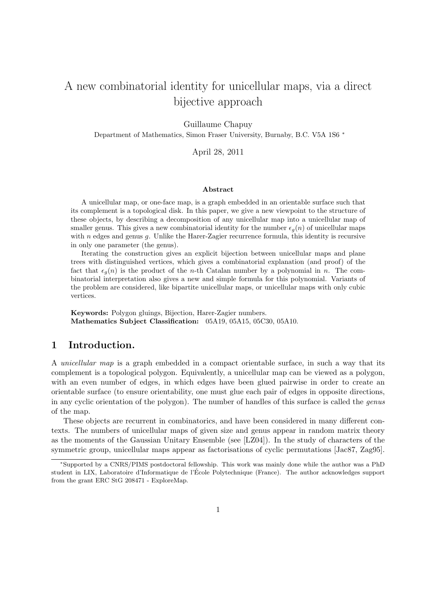# A new combinatorial identity for unicellular maps, via a direct bijective approach

Guillaume Chapuy

Department of Mathematics, Simon Fraser University, Burnaby, B.C. V5A 1S6 <sup>∗</sup>

April 28, 2011

#### Abstract

A unicellular map, or one-face map, is a graph embedded in an orientable surface such that its complement is a topological disk. In this paper, we give a new viewpoint to the structure of these objects, by describing a decomposition of any unicellular map into a unicellular map of smaller genus. This gives a new combinatorial identity for the number  $\epsilon_q(n)$  of unicellular maps with  $n$  edges and genus  $q$ . Unlike the Harer-Zagier recurrence formula, this identity is recursive in only one parameter (the genus).

Iterating the construction gives an explicit bijection between unicellular maps and plane trees with distinguished vertices, which gives a combinatorial explanation (and proof) of the fact that  $\epsilon_q(n)$  is the product of the n-th Catalan number by a polynomial in n. The combinatorial interpretation also gives a new and simple formula for this polynomial. Variants of the problem are considered, like bipartite unicellular maps, or unicellular maps with only cubic vertices.

Keywords: Polygon gluings, Bijection, Harer-Zagier numbers. Mathematics Subject Classification: 05A19, 05A15, 05C30, 05A10.

# 1 Introduction.

A unicellular map is a graph embedded in a compact orientable surface, in such a way that its complement is a topological polygon. Equivalently, a unicellular map can be viewed as a polygon, with an even number of edges, in which edges have been glued pairwise in order to create an orientable surface (to ensure orientability, one must glue each pair of edges in opposite directions, in any cyclic orientation of the polygon). The number of handles of this surface is called the genus of the map.

These objects are recurrent in combinatorics, and have been considered in many different contexts. The numbers of unicellular maps of given size and genus appear in random matrix theory as the moments of the Gaussian Unitary Ensemble (see [LZ04]). In the study of characters of the symmetric group, unicellular maps appear as factorisations of cyclic permutations [Jac87, Zag95].

<sup>∗</sup>Supported by a CNRS/PIMS postdoctoral fellowship. This work was mainly done while the author was a PhD student in LIX, Laboratoire d'Informatique de l'École Polytechnique (France). The author acknowledges support from the grant ERC StG 208471 - ExploreMap.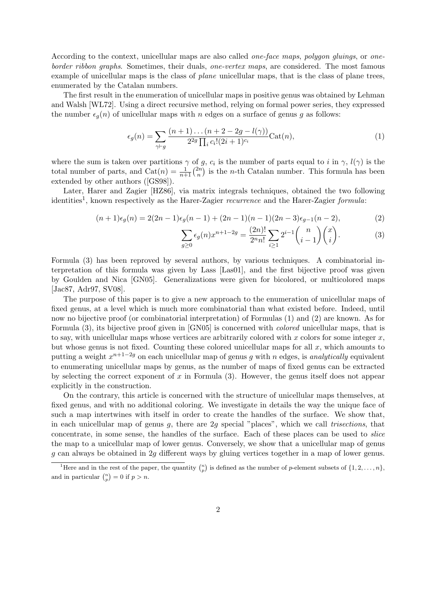According to the context, unicellular maps are also called one-face maps, polygon gluings, or oneborder ribbon graphs. Sometimes, their duals, one-vertex maps, are considered. The most famous example of unicellular maps is the class of plane unicellular maps, that is the class of plane trees, enumerated by the Catalan numbers.

The first result in the enumeration of unicellular maps in positive genus was obtained by Lehman and Walsh [WL72]. Using a direct recursive method, relying on formal power series, they expressed the number  $\epsilon_q(n)$  of unicellular maps with n edges on a surface of genus g as follows:

$$
\epsilon_g(n) = \sum_{\gamma \vdash g} \frac{(n+1)\dots(n+2-2g-l(\gamma))}{2^{2g} \prod_i c_i!(2i+1)^{c_i}} \text{Cat}(n),\tag{1}
$$

where the sum is taken over partitions  $\gamma$  of g,  $c_i$  is the number of parts equal to i in  $\gamma$ ,  $l(\gamma)$  is the total number of parts, and  $Cat(n) = \frac{1}{n+1} {2n \choose n}$  $\binom{2n}{n}$  is the *n*-th Catalan number. This formula has been extended by other authors ([GS98]).

Later, Harer and Zagier [HZ86], via matrix integrals techniques, obtained the two following identities<sup>1</sup>, known respectively as the Harer-Zagier *recurrence* and the Harer-Zagier *formula*:

$$
(n+1)\epsilon_g(n) = 2(2n-1)\epsilon_g(n-1) + (2n-1)(n-1)(2n-3)\epsilon_{g-1}(n-2),
$$
\n(2)

$$
\sum_{g\geq 0} \epsilon_g(n) x^{n+1-2g} = \frac{(2n)!}{2^n n!} \sum_{i\geq 1} 2^{i-1} \binom{n}{i-1} \binom{x}{i}.
$$
 (3)

Formula (3) has been reproved by several authors, by various techniques. A combinatorial interpretation of this formula was given by Lass [Las01], and the first bijective proof was given by Goulden and Nica [GN05]. Generalizations were given for bicolored, or multicolored maps [Jac87, Adr97, SV08].

The purpose of this paper is to give a new approach to the enumeration of unicellular maps of fixed genus, at a level which is much more combinatorial than what existed before. Indeed, until now no bijective proof (or combinatorial interpretation) of Formulas (1) and (2) are known. As for Formula (3), its bijective proof given in [GN05] is concerned with colored unicellular maps, that is to say, with unicellular maps whose vertices are arbitrarily colored with x colors for some integer  $x$ , but whose genus is not fixed. Counting these colored unicellular maps for all  $x$ , which amounts to putting a weight  $x^{n+1-2g}$  on each unicellular map of genus g with n edges, is analytically equivalent to enumerating unicellular maps by genus, as the number of maps of fixed genus can be extracted by selecting the correct exponent of  $x$  in Formula  $(3)$ . However, the genus itself does not appear explicitly in the construction.

On the contrary, this article is concerned with the structure of unicellular maps themselves, at fixed genus, and with no additional coloring. We investigate in details the way the unique face of such a map intertwines with itself in order to create the handles of the surface. We show that, in each unicellular map of genus q, there are  $2q$  special "places", which we call *trisections*, that concentrate, in some sense, the handles of the surface. Each of these places can be used to slice the map to a unicellular map of lower genus. Conversely, we show that a unicellular map of genus g can always be obtained in 2g different ways by gluing vertices together in a map of lower genus.

<sup>&</sup>lt;sup>1</sup>Here and in the rest of the paper, the quantity  $\binom{n}{p}$  is defined as the number of p-element subsets of  $\{1, 2, \ldots, n\}$ , and in particular  $\binom{n}{p} = 0$  if  $p > n$ .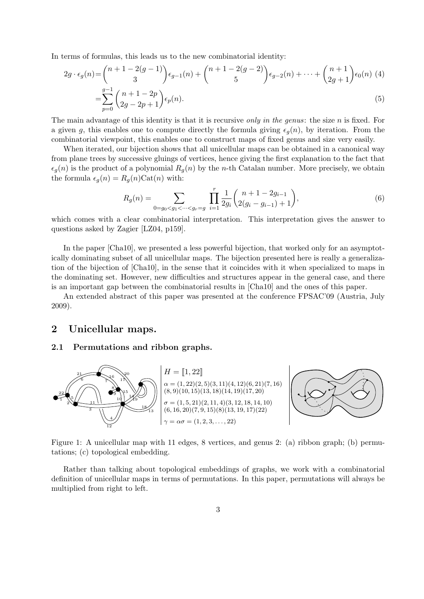In terms of formulas, this leads us to the new combinatorial identity:

$$
2g \cdot \epsilon_g(n) = {n+1-2(g-1) \choose 3} \epsilon_{g-1}(n) + {n+1-2(g-2) \choose 5} \epsilon_{g-2}(n) + \dots + {n+1 \choose 2g+1} \epsilon_0(n) \tag{4}
$$

$$
= \sum_{p=0}^{g-1} {n+1-2p \choose 2g-2p+1} \epsilon_p(n).
$$

The main advantage of this identity is that it is recursive only in the genus: the size  $n$  is fixed. For a given g, this enables one to compute directly the formula giving  $\epsilon_q(n)$ , by iteration. From the combinatorial viewpoint, this enables one to construct maps of fixed genus and size very easily.

When iterated, our bijection shows that all unicellular maps can be obtained in a canonical way from plane trees by successive gluings of vertices, hence giving the first explanation to the fact that  $\epsilon_q(n)$  is the product of a polynomial  $R_q(n)$  by the n-th Catalan number. More precisely, we obtain the formula  $\epsilon_g(n) = R_g(n) \text{Cat}(n)$  with:

$$
R_g(n) = \sum_{0=g_0 < g_1 < \dots < g_r = g} \prod_{i=1}^r \frac{1}{2g_i} {n+1-2g_{i-1} \choose 2(g_i-g_{i-1})+1},
$$
(6)

which comes with a clear combinatorial interpretation. This interpretation gives the answer to questions asked by Zagier [LZ04, p159].

In the paper [Cha10], we presented a less powerful bijection, that worked only for an asymptotically dominating subset of all unicellular maps. The bijection presented here is really a generalization of the bijection of [Cha10], in the sense that it coincides with it when specialized to maps in the dominating set. However, new difficulties and structures appear in the general case, and there is an important gap between the combinatorial results in [Cha10] and the ones of this paper.

An extended abstract of this paper was presented at the conference FPSAC'09 (Austria, July 2009).

# 2 Unicellular maps.

## 2.1 Permutations and ribbon graphs.



Figure 1: A unicellular map with 11 edges, 8 vertices, and genus 2: (a) ribbon graph; (b) permutations; (c) topological embedding.

Rather than talking about topological embeddings of graphs, we work with a combinatorial definition of unicellular maps in terms of permutations. In this paper, permutations will always be multiplied from right to left.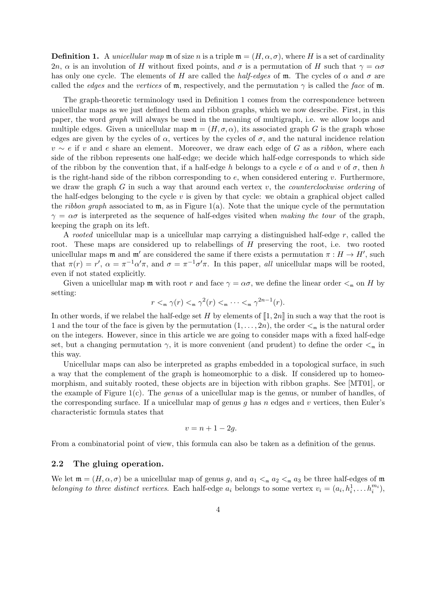**Definition 1.** A *unicellular map*  $\mathfrak{m}$  of size n is a triple  $\mathfrak{m} = (H, \alpha, \sigma)$ , where H is a set of cardinality 2n,  $\alpha$  is an involution of H without fixed points, and  $\sigma$  is a permutation of H such that  $\gamma = \alpha \sigma$ has only one cycle. The elements of H are called the *half-edges* of m. The cycles of  $\alpha$  and  $\sigma$  are called the *edges* and the vertices of m, respectively, and the permutation  $\gamma$  is called the face of m.

The graph-theoretic terminology used in Definition 1 comes from the correspondence between unicellular maps as we just defined them and ribbon graphs, which we now describe. First, in this paper, the word graph will always be used in the meaning of multigraph, i.e. we allow loops and multiple edges. Given a unicellular map  $\mathfrak{m} = (H, \sigma, \alpha)$ , its associated graph G is the graph whose edges are given by the cycles of  $\alpha$ , vertices by the cycles of  $\sigma$ , and the natural incidence relation  $v \sim e$  if v and e share an element. Moreover, we draw each edge of G as a ribbon, where each side of the ribbon represents one half-edge; we decide which half-edge corresponds to which side of the ribbon by the convention that, if a half-edge h belongs to a cycle e of  $\alpha$  and v of  $\sigma$ , then h is the right-hand side of the ribbon corresponding to  $e$ , when considered entering  $v$ . Furthermore, we draw the graph G in such a way that around each vertex  $v$ , the *counterclockwise ordering* of the half-edges belonging to the cycle  $v$  is given by that cycle: we obtain a graphical object called the *ribbon graph* associated to  $m$ , as in Figure 1(a). Note that the unique cycle of the permutation  $\gamma = \alpha \sigma$  is interpreted as the sequence of half-edges visited when making the tour of the graph, keeping the graph on its left.

A rooted unicellular map is a unicellular map carrying a distinguished half-edge  $r$ , called the root. These maps are considered up to relabellings of H preserving the root, i.e. two rooted unicellular maps  $\mathfrak{m}$  and  $\mathfrak{m}'$  are considered the same if there exists a permutation  $\pi : H \to H'$ , such that  $\pi(r) = r'$ ,  $\alpha = \pi^{-1} \alpha' \pi$ , and  $\sigma = \pi^{-1} \sigma' \pi$ . In this paper, all unicellular maps will be rooted, even if not stated explicitly.

Given a unicellular map m with root r and face  $\gamma = \alpha \sigma$ , we define the linear order  $\lt_{m}$  on H by setting:

$$
r <_{\mathfrak{m}} \gamma(r) <_{\mathfrak{m}} \gamma^2(r) <_{\mathfrak{m}} \cdots <_{\mathfrak{m}} \gamma^{2n-1}(r).
$$

In other words, if we relabel the half-edge set H by elements of  $\llbracket 1, 2n \rrbracket$  in such a way that the root is 1 and the tour of the face is given by the permutation  $(1, \ldots, 2n)$ , the order  $\lt_{m}$  is the natural order on the integers. However, since in this article we are going to consider maps with a fixed half-edge set, but a changing permutation  $\gamma$ , it is more convenient (and prudent) to define the order  $\lt_{m}$  in this way.

Unicellular maps can also be interpreted as graphs embedded in a topological surface, in such a way that the complement of the graph is homeomorphic to a disk. If considered up to homeomorphism, and suitably rooted, these objects are in bijection with ribbon graphs. See [MT01], or the example of Figure 1(c). The *genus* of a unicellular map is the genus, or number of handles, of the corresponding surface. If a unicellular map of genus q has n edges and v vertices, then Euler's characteristic formula states that

$$
v = n + 1 - 2g.
$$

From a combinatorial point of view, this formula can also be taken as a definition of the genus.

## 2.2 The gluing operation.

We let  $\mathfrak{m} = (H, \alpha, \sigma)$  be a unicellular map of genus g, and  $a_1 <_{\mathfrak{m}} a_2 <_{\mathfrak{m}} a_3$  be three half-edges of  $\mathfrak{m}$ belonging to three distinct vertices. Each half-edge  $a_i$  belongs to some vertex  $v_i = (a_i, h_i^1, \ldots h_i^{m_i}),$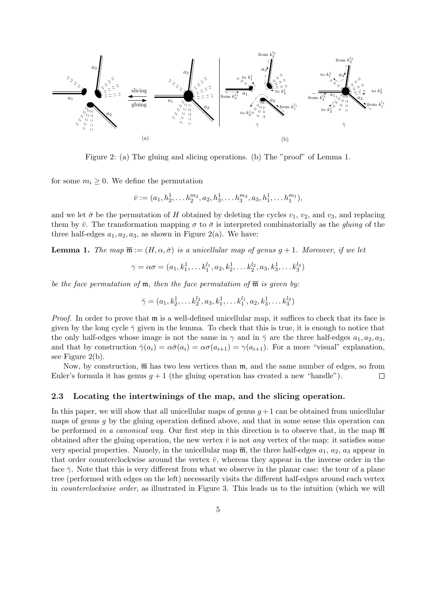

Figure 2: (a) The gluing and slicing operations. (b) The "proof" of Lemma 1.

for some  $m_i \geq 0$ . We define the permutation

$$
\bar{v} := (a_1, h_2^1, \dots, h_2^{m_2}, a_2, h_3^1, \dots, h_3^{m_3}, a_3, h_1^1, \dots, h_1^{m_1}),
$$

and we let  $\bar{\sigma}$  be the permutation of H obtained by deleting the cycles  $v_1$ ,  $v_2$ , and  $v_3$ , and replacing them by  $\bar{v}$ . The transformation mapping  $\sigma$  to  $\bar{\sigma}$  is interpreted combinatorially as the *gluing* of the three half-edges  $a_1, a_2, a_3$ , as shown in Figure 2(a). We have:

**Lemma 1.** The map  $\overline{\mathfrak{m}} := (H, \alpha, \overline{\sigma})$  is a unicellular map of genus  $g + 1$ . Moreover, if we let

$$
\gamma = \alpha \sigma = (a_1, k_1^1, \dots k_1^{l_1}, a_2, k_2^1, \dots k_2^{l_2}, a_3, k_3^1, \dots k_3^{l_3})
$$

be the face permutation of  $m$ , then the face permutation of  $\overline{m}$  is given by:

$$
\bar{\gamma} = (a_1, k_2^1, \dots k_2^{l_2}, a_3, k_1^1, \dots k_1^{l_1}, a_2, k_3^1, \dots k_3^{l_3})
$$

*Proof.* In order to prove that  $\mathfrak{m}$  is a well-defined unicellular map, it suffices to check that its face is given by the long cycle  $\bar{\gamma}$  given in the lemma. To check that this is true, it is enough to notice that the only half-edges whose image is not the same in  $\gamma$  and in  $\bar{\gamma}$  are the three half-edges  $a_1, a_2, a_3$ , and that by construction  $\bar{\gamma}(a_i) = \alpha \bar{\sigma}(a_i) = \alpha \sigma(a_{i+1}) = \gamma(a_{i+1})$ . For a more "visual" explanation, see Figure 2(b).

Now, by construction,  $\overline{\mathfrak{m}}$  has two less vertices than  $\mathfrak{m}$ , and the same number of edges, so from Euler's formula it has genus  $g + 1$  (the gluing operation has created a new "handle").  $\Box$ 

#### 2.3 Locating the intertwinings of the map, and the slicing operation.

In this paper, we will show that all unicellular maps of genus  $g + 1$  can be obtained from unicellular maps of genus  $q$  by the gluing operation defined above, and that in some sense this operation can be performed in a canonical way. Our first step in this direction is to observe that, in the map  $\overline{\mathfrak{m}}$ obtained after the gluing operation, the new vertex  $\bar{v}$  is not *any* vertex of the map: it satisfies some very special properties. Namely, in the unicellular map  $\overline{m}$ , the three half-edges  $a_1, a_2, a_3$  appear in that order counterclockwise around the vertex  $\bar{v}$ , whereas they appear in the inverse order in the face  $\bar{\gamma}$ . Note that this is very different from what we observe in the planar case: the tour of a plane tree (performed with edges on the left) necessarily visits the different half-edges around each vertex in counterclockwise order, as illustrated in Figure 3. This leads us to the intuition (which we will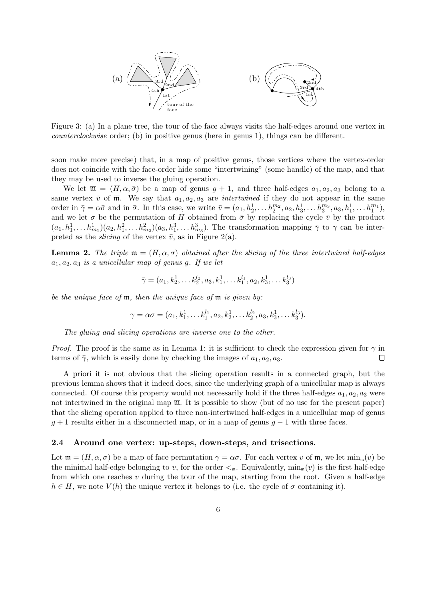

Figure 3: (a) In a plane tree, the tour of the face always visits the half-edges around one vertex in counterclockwise order; (b) in positive genus (here in genus 1), things can be different.

soon make more precise) that, in a map of positive genus, those vertices where the vertex-order does not coincide with the face-order hide some "intertwining" (some handle) of the map, and that they may be used to inverse the gluing operation.

We let  $\overline{\mathfrak{m}} = (H, \alpha, \overline{\sigma})$  be a map of genus  $g + 1$ , and three half-edges  $a_1, a_2, a_3$  belong to a same vertex  $\bar{v}$  of  $\bar{m}$ . We say that  $a_1, a_2, a_3$  are *intertwined* if they do not appear in the same order in  $\bar{\gamma} = \alpha \bar{\sigma}$  and in  $\bar{\sigma}$ . In this case, we write  $\bar{v} = (a_1, h_2^1, \ldots h_2^{m_2}, a_2, h_3^1, \ldots h_3^{m_3}, a_3, h_1^1, \ldots h_1^{m_1}),$ and we let  $\sigma$  be the permutation of H obtained from  $\bar{\sigma}$  by replacing the cycle  $\bar{v}$  by the product  $(a_1, h_1^1, \ldots, h_{m_1}^1)(a_2, h_1^2, \ldots, h_{m_2}^2)(a_3, h_1^3, \ldots, h_{m_3}^3)$ . The transformation mapping  $\bar{\gamma}$  to  $\gamma$  can be interpreted as the *slicing* of the vertex  $\bar{v}$ , as in Figure 2(a).

**Lemma 2.** The triple  $\mathfrak{m} = (H, \alpha, \sigma)$  obtained after the slicing of the three intertwined half-edges  $a_1, a_2, a_3$  is a unicellular map of genus g. If we let

$$
\bar{\gamma} = (a_1, k_2^1, \dots, k_2^{l_2}, a_3, k_1^1, \dots, k_1^{l_1}, a_2, k_3^1, \dots, k_3^{l_3})
$$

be the unique face of  $\overline{\mathfrak{m}}$ , then the unique face of  $\mathfrak{m}$  is given by:

$$
\gamma = \alpha \sigma = (a_1, k_1^1, \dots k_1^{l_1}, a_2, k_2^1, \dots k_2^{l_2}, a_3, k_3^1, \dots k_3^{l_3}).
$$

The gluing and slicing operations are inverse one to the other.

*Proof.* The proof is the same as in Lemma 1: it is sufficient to check the expression given for  $\gamma$  in terms of  $\bar{\gamma}$ , which is easily done by checking the images of  $a_1, a_2, a_3$ .  $\Box$ 

A priori it is not obvious that the slicing operation results in a connected graph, but the previous lemma shows that it indeed does, since the underlying graph of a unicellular map is always connected. Of course this property would not necessarily hold if the three half-edges  $a_1, a_2, a_3$  were not intertwined in the original map  $\overline{m}$ . It is possible to show (but of no use for the present paper) that the slicing operation applied to three non-intertwined half-edges in a unicellular map of genus  $g + 1$  results either in a disconnected map, or in a map of genus  $g - 1$  with three faces.

#### 2.4 Around one vertex: up-steps, down-steps, and trisections.

Let  $\mathfrak{m} = (H, \alpha, \sigma)$  be a map of face permutation  $\gamma = \alpha \sigma$ . For each vertex v of  $\mathfrak{m}$ , we let  $\min_{\mathfrak{m}}(v)$  be the minimal half-edge belonging to v, for the order  $\lt_{\mathfrak{m}}$ . Equivalently,  $\min_{\mathfrak{m}}(v)$  is the first half-edge from which one reaches  $v$  during the tour of the map, starting from the root. Given a half-edge  $h \in H$ , we note  $V(h)$  the unique vertex it belongs to (i.e. the cycle of  $\sigma$  containing it).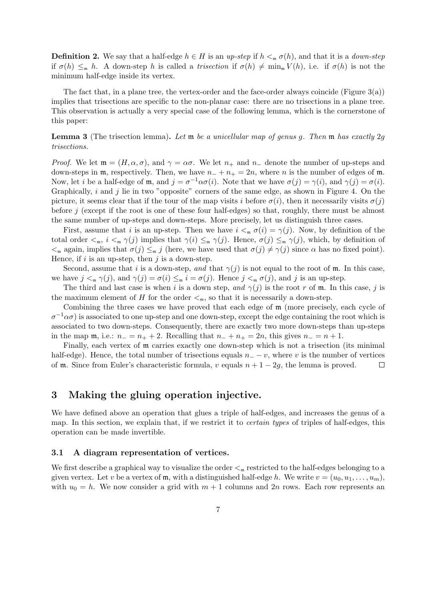**Definition 2.** We say that a half-edge  $h \in H$  is an up-step if  $h <_{m} \sigma(h)$ , and that it is a *down-step* if  $\sigma(h) \leq_m h$ . A down-step h is called a trisection if  $\sigma(h) \neq \min_m V(h)$ , i.e. if  $\sigma(h)$  is not the minimum half-edge inside its vertex.

The fact that, in a plane tree, the vertex-order and the face-order always coincide (Figure  $3(a)$ ) implies that trisections are specific to the non-planar case: there are no trisections in a plane tree. This observation is actually a very special case of the following lemma, which is the cornerstone of this paper:

**Lemma 3** (The trisection lemma). Let  $\mathfrak{m}$  be a unicellular map of genus g. Then  $\mathfrak{m}$  has exactly 2g trisections.

Proof. We let  $\mathfrak{m} = (H, \alpha, \sigma)$ , and  $\gamma = \alpha \sigma$ . We let  $n_+$  and  $n_-$  denote the number of up-steps and down-steps in m, respectively. Then, we have  $n_{-} + n_{+} = 2n$ , where n is the number of edges of m. Now, let *i* be a half-edge of m, and  $j = \sigma^{-1} \alpha \sigma(i)$ . Note that we have  $\sigma(j) = \gamma(i)$ , and  $\gamma(j) = \sigma(i)$ . Graphically,  $i$  and  $j$  lie in two "opposite" corners of the same edge, as shown in Figure 4. On the picture, it seems clear that if the tour of the map visits i before  $\sigma(i)$ , then it necessarily visits  $\sigma(i)$ before j (except if the root is one of these four half-edges) so that, roughly, there must be almost the same number of up-steps and down-steps. More precisely, let us distinguish three cases.

First, assume that i is an up-step. Then we have  $i <_{m} \sigma(i) = \gamma(j)$ . Now, by definition of the total order  $\lt_m$ ,  $i \lt_m \gamma(j)$  implies that  $\gamma(i) \leq_m \gamma(j)$ . Hence,  $\sigma(j) \leq_m \gamma(j)$ , which, by definition of  $\langle \xi_m \rangle$  again, implies that  $\sigma(j) \leq_{m} j$  (here, we have used that  $\sigma(j) \neq \gamma(j)$  since  $\alpha$  has no fixed point). Hence, if  $i$  is an up-step, then  $j$  is a down-step.

Second, assume that i is a down-step, and that  $\gamma(j)$  is not equal to the root of m. In this case, we have  $j <_{m} \gamma(j)$ , and  $\gamma(j) = \sigma(i) \leq_{m} i = \sigma(j)$ . Hence  $j <_{m} \sigma(j)$ , and j is an up-step.

The third and last case is when i is a down step, and  $\gamma(j)$  is the root r of m. In this case, j is the maximum element of H for the order  $\lt_{m}$ , so that it is necessarily a down-step.

Combining the three cases we have proved that each edge of m (more precisely, each cycle of  $\sigma^{-1}\alpha\sigma$ ) is associated to one up-step and one down-step, except the edge containing the root which is associated to two down-steps. Consequently, there are exactly two more down-steps than up-steps in the map  $m$ , i.e.:  $n_-=n_++2$ . Recalling that  $n_++n_+=2n$ , this gives  $n_-=n+1$ .

Finally, each vertex of m carries exactly one down-step which is not a trisection (its minimal half-edge). Hence, the total number of trisections equals  $n = -v$ , where v is the number of vertices of **m**. Since from Euler's characteristic formula, v equals  $n + 1 - 2q$ , the lemma is proved. of **m**. Since from Euler's characteristic formula, v equals  $n + 1 - 2g$ , the lemma is proved.

# 3 Making the gluing operation injective.

We have defined above an operation that glues a triple of half-edges, and increases the genus of a map. In this section, we explain that, if we restrict it to certain types of triples of half-edges, this operation can be made invertible.

### 3.1 A diagram representation of vertices.

We first describe a graphical way to visualize the order  $\lt_{m}$  restricted to the half-edges belonging to a given vertex. Let v be a vertex of  $m$ , with a distinguished half-edge h. We write  $v = (u_0, u_1, \ldots, u_m)$ , with  $u_0 = h$ . We now consider a grid with  $m + 1$  columns and  $2n$  rows. Each row represents an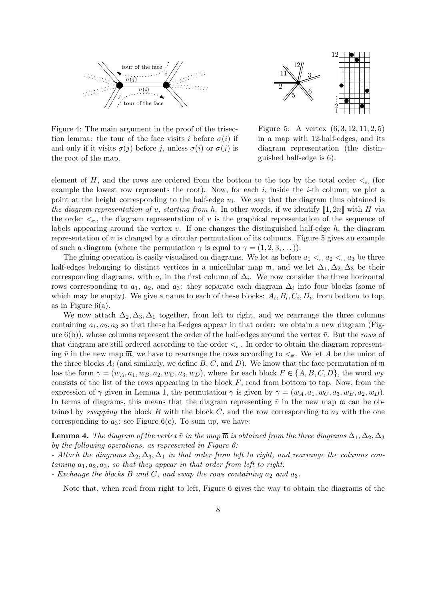



Figure 4: The main argument in the proof of the trisection lemma: the tour of the face visits i before  $\sigma(i)$  if and only if it visits  $\sigma(j)$  before j, unless  $\sigma(i)$  or  $\sigma(j)$  is the root of the map.

Figure 5: A vertex (6, 3, 12, 11, 2, 5) in a map with 12-half-edges, and its diagram representation (the distinguished half-edge is 6).

element of H, and the rows are ordered from the bottom to the top by the total order  $\lt_m$  (for example the lowest row represents the root). Now, for each  $i$ , inside the  $i$ -th column, we plot a point at the height corresponding to the half-edge  $u_i$ . We say that the diagram thus obtained is the diagram representation of v, starting from h. In other words, if we identify  $\llbracket 1, 2n \rrbracket$  with H via the order  $\leq_m$ , the diagram representation of v is the graphical representation of the sequence of labels appearing around the vertex  $v$ . If one changes the distinguished half-edge  $h$ , the diagram representation of  $v$  is changed by a circular permutation of its columns. Figure 5 gives an example of such a diagram (where the permutation  $\gamma$  is equal to  $\gamma = (1, 2, 3, \dots)$ ).

The gluing operation is easily visualised on diagrams. We let as before  $a_1 <_{\mathfrak{m}} a_2 <_{\mathfrak{m}} a_3$  be three half-edges belonging to distinct vertices in a unicellular map  $m$ , and we let  $\Delta_1, \Delta_2, \Delta_3$  be their corresponding diagrams, with  $a_i$  in the first column of  $\Delta_i$ . We now consider the three horizontal rows corresponding to  $a_1, a_2,$  and  $a_3$ : they separate each diagram  $\Delta_i$  into four blocks (some of which may be empty). We give a name to each of these blocks:  $A_i, B_i, C_i, D_i$ , from bottom to top, as in Figure  $6(a)$ .

We now attach  $\Delta_2, \Delta_3, \Delta_1$  together, from left to right, and we rearrange the three columns containing  $a_1, a_2, a_3$  so that these half-edges appear in that order: we obtain a new diagram (Figure  $6(b)$ , whose columns represent the order of the half-edges around the vertex  $\bar{v}$ . But the rows of that diagram are still ordered according to the order  $\lt_{m}$ . In order to obtain the diagram representing  $\bar{v}$  in the new map  $\bar{\mathfrak{m}}$ , we have to rearrange the rows according to  $\leq_{\bar{\mathfrak{m}}}$ . We let A be the union of the three blocks  $A_i$  (and similarly, we define  $B, C$ , and  $D$ ). We know that the face permutation of m has the form  $\gamma = (w_A, a_1, w_B, a_2, w_C, a_3, w_D)$ , where for each block  $F \in \{A, B, C, D\}$ , the word  $w_F$ consists of the list of the rows appearing in the block  $F$ , read from bottom to top. Now, from the expression of  $\bar{\gamma}$  given in Lemma 1, the permutation  $\bar{\gamma}$  is given by  $\bar{\gamma} = (w_A, a_1, w_C, a_3, w_B, a_2, w_D)$ . In terms of diagrams, this means that the diagram representing  $\bar{v}$  in the new map  $\bar{m}$  can be obtained by swapping the block B with the block C, and the row corresponding to  $a_2$  with the one corresponding to  $a_3$ : see Figure 6(c). To sum up, we have:

**Lemma 4.** The diagram of the vertex  $\bar{v}$  in the map  $\bar{m}$  is obtained from the three diagrams  $\Delta_1, \Delta_2, \Delta_3$ by the following operations, as represented in Figure 6:

- Attach the diagrams  $\Delta_2, \Delta_3, \Delta_1$  in that order from left to right, and rearrange the columns containing  $a_1, a_2, a_3$ , so that they appear in that order from left to right.

- Exchange the blocks B and C, and swap the rows containing  $a_2$  and  $a_3$ .

Note that, when read from right to left, Figure 6 gives the way to obtain the diagrams of the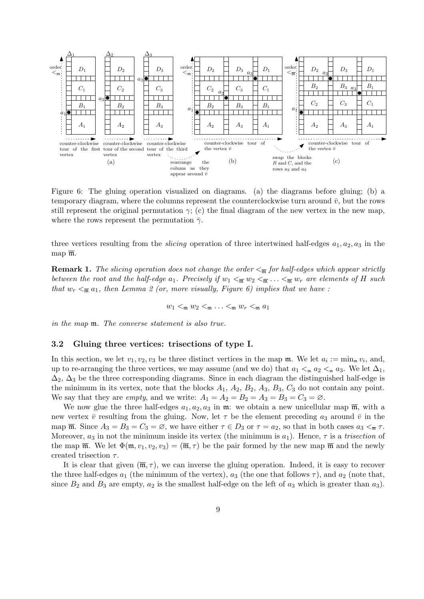

Figure 6: The gluing operation visualized on diagrams. (a) the diagrams before gluing; (b) a temporary diagram, where the columns represent the counterclockwise turn around  $\bar{v}$ , but the rows still represent the original permutation  $\gamma$ ; (c) the final diagram of the new vertex in the new map, where the rows represent the permutation  $\bar{\gamma}$ .

three vertices resulting from the *slicing* operation of three intertwined half-edges  $a_1, a_2, a_3$  in the map  $\overline{\mathfrak{m}}$ .

**Remark 1.** The slicing operation does not change the order  $\lt_{\overline{m}}$  for half-edges which appear strictly between the root and the half-edge  $a_1$ . Precisely if  $w_1 <_{\overline{m}} w_2 <_{\overline{m}} \ldots <_{\overline{m}} w_r$  are elements of H such that  $w_r < \frac{\pi}{m} a_1$ , then Lemma 2 (or, more visually, Figure 6) implies that we have :

 $w_1 <_{\mathfrak{m}} w_2 <_{\mathfrak{m}} \ldots <_{\mathfrak{m}} w_r <_{\mathfrak{m}} a_1$ 

in the map m. The converse statement is also true.

#### 3.2 Gluing three vertices: trisections of type I.

In this section, we let  $v_1, v_2, v_3$  be three distinct vertices in the map  $\mathfrak{m}$ . We let  $a_i := \min_{\mathfrak{m}} v_i$ , and, up to re-arranging the three vertices, we may assume (and we do) that  $a_1 <_{m} a_2 <_{m} a_3$ . We let  $\Delta_1$ ,  $\Delta_2$ ,  $\Delta_3$  be the three corresponding diagrams. Since in each diagram the distinguished half-edge is the minimum in its vertex, note that the blocks  $A_1$ ,  $A_2$ ,  $B_2$ ,  $A_3$ ,  $B_3$ ,  $C_3$  do not contain any point. We say that they are *empty*, and we write:  $A_1 = A_2 = B_2 = A_3 = B_3 = C_3 = \emptyset$ .

We now glue the three half-edges  $a_1, a_2, a_3$  in m: we obtain a new unicellular map  $\overline{m}$ , with a new vertex  $\bar{v}$  resulting from the gluing. Now, let  $\tau$  be the element preceding  $a_3$  around  $\bar{v}$  in the map  $\overline{\mathfrak{m}}$ . Since  $A_3 = B_3 = C_3 = \emptyset$ , we have either  $\tau \in D_3$  or  $\tau = a_2$ , so that in both cases  $a_3 \leq_{\overline{\mathfrak{m}}} \tau$ . Moreover,  $a_3$  in not the minimum inside its vertex (the minimum is  $a_1$ ). Hence,  $\tau$  is a trisection of the map  $\overline{\mathfrak{m}}$ . We let  $\Phi(\mathfrak{m}, v_1, v_2, v_3) = (\overline{\mathfrak{m}}, \tau)$  be the pair formed by the new map  $\overline{\mathfrak{m}}$  and the newly created trisection  $\tau$ .

It is clear that given  $(\overline{\mathfrak{m}}, \tau)$ , we can inverse the gluing operation. Indeed, it is easy to recover the three half-edges  $a_1$  (the minimum of the vertex),  $a_3$  (the one that follows  $\tau$ ), and  $a_2$  (note that, since  $B_2$  and  $B_3$  are empty,  $a_2$  is the smallest half-edge on the left of  $a_3$  which is greater than  $a_3$ ).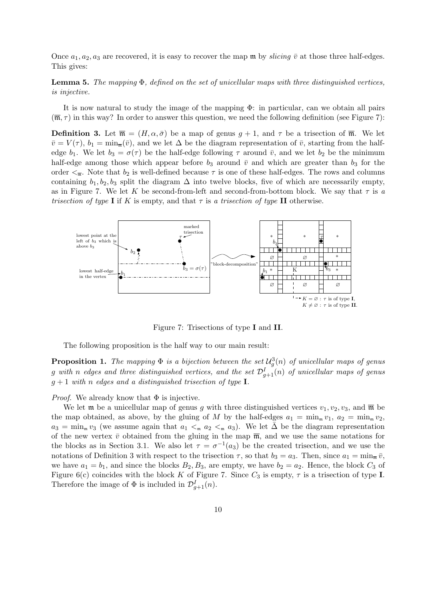Once  $a_1, a_2, a_3$  are recovered, it is easy to recover the map m by *slicing*  $\bar{v}$  at those three half-edges. This gives:

**Lemma 5.** The mapping  $\Phi$ , defined on the set of unicellular maps with three distinguished vertices, is injective.

It is now natural to study the image of the mapping Φ: in particular, can we obtain all pairs  $(\overline{\mathfrak{m}}, \tau)$  in this way? In order to answer this question, we need the following definition (see Figure 7):

**Definition 3.** Let  $\overline{\mathfrak{m}} = (H, \alpha, \overline{\sigma})$  be a map of genus  $q + 1$ , and  $\tau$  be a trisection of  $\overline{\mathfrak{m}}$ . We let  $\bar{v} = V(\tau)$ ,  $b_1 = \min_{\bar{w}}(\bar{v})$ , and we let  $\Delta$  be the diagram representation of  $\bar{v}$ , starting from the halfedge  $b_1$ . We let  $b_3 = \sigma(\tau)$  be the half-edge following  $\tau$  around  $\bar{v}$ , and we let  $b_2$  be the minimum half-edge among those which appear before  $b_3$  around  $\bar{v}$  and which are greater than  $b_3$  for the order  $\leq_{\overline{n}}$ . Note that  $b_2$  is well-defined because  $\tau$  is one of these half-edges. The rows and columns containing  $b_1, b_2, b_3$  split the diagram  $\Delta$  into twelve blocks, five of which are necessarily empty, as in Figure 7. We let K be second-from-left and second-from-bottom block. We say that  $\tau$  is a trisection of type I if K is empty, and that  $\tau$  is a trisection of type II otherwise.



Figure 7: Trisections of type I and II.

The following proposition is the half way to our main result:

**Proposition 1.** The mapping  $\Phi$  is a bijection between the set  $\mathcal{U}_g^3(n)$  of unicellular maps of genus  $g$  with  $n$  edges and three distinguished vertices, and the set  $\mathcal{D}_{g+1}^{I}(n)$  of unicellular maps of genus  $g+1$  with n edges and a distinguished trisection of type I.

*Proof.* We already know that  $\Phi$  is injective.

We let **m** be a unicellular map of genus g with three distinguished vertices  $v_1, v_2, v_3$ , and  $\overline{\mathfrak{m}}$  be the map obtained, as above, by the gluing of M by the half-edges  $a_1 = \min_{\mathfrak{m}} v_1$ ,  $a_2 = \min_{\mathfrak{m}} v_2$ ,  $a_3 = \min_{\mathfrak{m}} v_3$  (we assume again that  $a_1 <_{\mathfrak{m}} a_2 <_{\mathfrak{m}} a_3$ ). We let  $\overline{\Delta}$  be the diagram representation of the new vertex  $\bar{v}$  obtained from the gluing in the map  $\bar{m}$ , and we use the same notations for the blocks as in Section 3.1. We also let  $\tau = \sigma^{-1}(a_3)$  be the created trisection, and we use the notations of Definition 3 with respect to the trisection  $\tau$ , so that  $b_3 = a_3$ . Then, since  $a_1 = \min_{\overline{n}} \overline{v}$ , we have  $a_1 = b_1$ , and since the blocks  $B_2, B_3$ , are empty, we have  $b_2 = a_2$ . Hence, the block  $C_3$  of Figure 6(c) coincides with the block K of Figure 7. Since  $C_3$  is empty,  $\tau$  is a trisection of type I. Therefore the image of  $\Phi$  is included in  $\mathcal{D}_{g+1}^I(n)$ .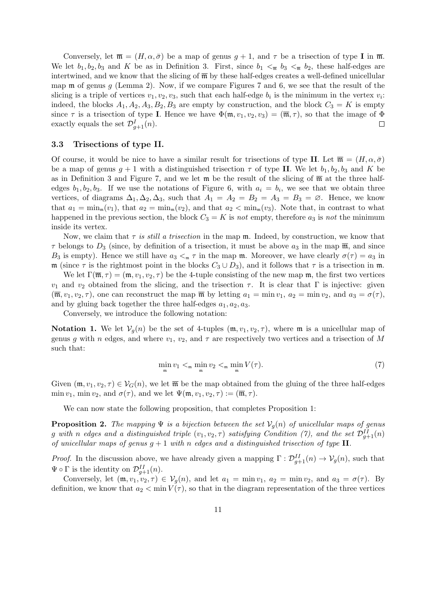Conversely, let  $\overline{\mathfrak{m}} = (H, \alpha, \overline{\sigma})$  be a map of genus  $g + 1$ , and  $\tau$  be a trisection of type I in  $\overline{\mathfrak{m}}$ . We let  $b_1, b_2, b_3$  and K be as in Definition 3. First, since  $b_1 <_{\overline{m}} b_3 <_{\overline{m}} b_2$ , these half-edges are intertwined, and we know that the slicing of  $\overline{m}$  by these half-edges creates a well-defined unicellular map  $\mathfrak m$  of genus g (Lemma 2). Now, if we compare Figures 7 and 6, we see that the result of the slicing is a triple of vertices  $v_1, v_2, v_3$ , such that each half-edge  $b_i$  is the minimum in the vertex  $v_i$ : indeed, the blocks  $A_1, A_2, A_3, B_2, B_3$  are empty by construction, and the block  $C_3 = K$  is empty since  $\tau$  is a trisection of type I. Hence we have  $\Phi(\mathfrak{m}, v_1, v_2, v_3) = (\overline{\mathfrak{m}}, \tau)$ , so that the image of  $\Phi$ exactly equals the set  $\mathcal{D}_{g+1}^I(n)$ .  $\Box$ 

## 3.3 Trisections of type II.

Of course, it would be nice to have a similar result for trisections of type II. Let  $\overline{\mathfrak{m}} = (H, \alpha, \overline{\sigma})$ be a map of genus  $g + 1$  with a distinguished trisection  $\tau$  of type II. We let  $b_1, b_2, b_3$  and K be as in Definition 3 and Figure 7, and we let  $\mathfrak{m}$  be the result of the slicing of  $\overline{\mathfrak{m}}$  at the three halfedges  $b_1, b_2, b_3$ . If we use the notations of Figure 6, with  $a_i = b_i$ , we see that we obtain three vertices, of diagrams  $\Delta_1, \Delta_2, \Delta_3$ , such that  $A_1 = A_2 = B_2 = A_3 = B_3 = \emptyset$ . Hence, we know that  $a_1 = \min_{\mathfrak{m}}(v_1)$ , that  $a_2 = \min_{\mathfrak{m}}(v_2)$ , and that  $a_2 < \min_{\mathfrak{m}}(v_3)$ . Note that, in contrast to what happened in the previous section, the block  $C_3 = K$  is not empty, therefore  $a_3$  is not the minimum inside its vertex.

Now, we claim that  $\tau$  is still a trisection in the map  $\mathfrak{m}$ . Indeed, by construction, we know that  $\tau$  belongs to  $D_3$  (since, by definition of a trisection, it must be above  $a_3$  in the map  $\overline{\mathfrak{m}}$ , and since B<sub>3</sub> is empty). Hence we still have  $a_3 <_{\mathfrak{m}} \tau$  in the map  $\mathfrak{m}$ . Moreover, we have clearly  $\sigma(\tau) = a_3$  in m (since  $\tau$  is the rightmost point in the blocks  $C_3 \cup D_3$ ), and it follows that  $\tau$  is a trisection in m.

We let  $\Gamma(\overline{\mathfrak{m}}, \tau) = (\mathfrak{m}, v_1, v_2, \tau)$  be the 4-tuple consisting of the new map  $\mathfrak{m}$ , the first two vertices  $v_1$  and  $v_2$  obtained from the slicing, and the trisection  $\tau$ . It is clear that Γ is injective: given  $(\overline{\mathfrak{m}}, v_1, v_2, \tau)$ , one can reconstruct the map  $\overline{\mathfrak{m}}$  by letting  $a_1 = \min v_1$ ,  $a_2 = \min v_2$ , and  $a_3 = \sigma(\tau)$ , and by gluing back together the three half-edges  $a_1, a_2, a_3$ .

Conversely, we introduce the following notation:

**Notation 1.** We let  $V_q(n)$  be the set of 4-tuples  $(\mathfrak{m}, v_1, v_2, \tau)$ , where  $\mathfrak{m}$  is a unicellular map of genus g with n edges, and where  $v_1, v_2$ , and  $\tau$  are respectively two vertices and a trisection of M such that:

$$
\min_{\mathfrak{m}} v_1 <_{\mathfrak{m}} \min_{\mathfrak{m}} v_2 <_{\mathfrak{m}} \min_{\mathfrak{m}} V(\tau). \tag{7}
$$

Given  $(\mathfrak{m}, v_1, v_2, \tau) \in \mathcal{V}_G(n)$ , we let  $\overline{\mathfrak{m}}$  be the map obtained from the gluing of the three half-edges min  $v_1$ , min  $v_2$ , and  $\sigma(\tau)$ , and we let  $\Psi(\mathfrak{m}, v_1, v_2, \tau) := (\overline{\mathfrak{m}}, \tau)$ .

We can now state the following proposition, that completes Proposition 1:

**Proposition 2.** The mapping  $\Psi$  is a bijection between the set  $V_g(n)$  of unicellular maps of genus g with n edges and a distinguished triple  $(v_1, v_2, \tau)$  satisfying Condition (7), and the set  $\mathcal{D}_{g+1}^{II}(n)$ of unicellular maps of genus  $g + 1$  with n edges and a distinguished trisection of type II.

*Proof.* In the discussion above, we have already given a mapping  $\Gamma : \mathcal{D}_{g+1}^{II}(n) \to \mathcal{V}_g(n)$ , such that  $\Psi \circ \Gamma$  is the identity on  $\mathcal{D}_{g+1}^{II}(n)$ .

Conversely, let  $(\mathfrak{m}, v_1, v_2, \tau) \in \mathcal{V}_q(n)$ , and let  $a_1 = \min v_1$ ,  $a_2 = \min v_2$ , and  $a_3 = \sigma(\tau)$ . By definition, we know that  $a_2 < \min V(\tau)$ , so that in the diagram representation of the three vertices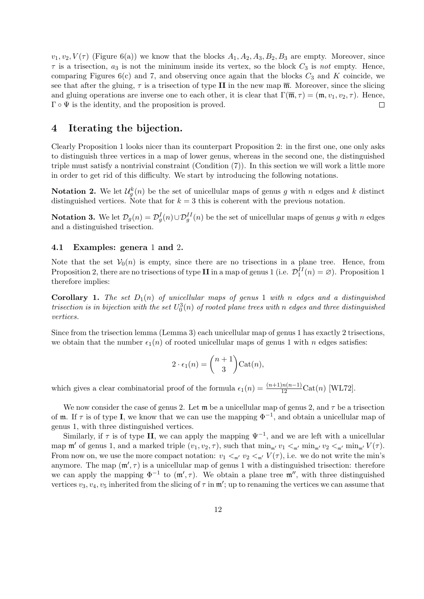$v_1, v_2, V(\tau)$  (Figure 6(a)) we know that the blocks  $A_1, A_2, A_3, B_2, B_3$  are empty. Moreover, since  $\tau$  is a trisection,  $a_3$  is not the minimum inside its vertex, so the block  $C_3$  is not empty. Hence, comparing Figures  $6(c)$  and 7, and observing once again that the blocks  $C_3$  and K coincide, we see that after the gluing,  $\tau$  is a trisection of type II in the new map  $\overline{m}$ . Moreover, since the slicing and gluing operations are inverse one to each other, it is clear that  $\Gamma(\overline{\mathfrak{m}}, \tau) = (\mathfrak{m}, v_1, v_2, \tau)$ . Hence,  $\Gamma \circ \Psi$  is the identity, and the proposition is proved.  $\Box$ 

# 4 Iterating the bijection.

Clearly Proposition 1 looks nicer than its counterpart Proposition 2: in the first one, one only asks to distinguish three vertices in a map of lower genus, whereas in the second one, the distinguished triple must satisfy a nontrivial constraint (Condition  $(7)$ ). In this section we will work a little more in order to get rid of this difficulty. We start by introducing the following notations.

**Notation 2.** We let  $\mathcal{U}_g^k(n)$  be the set of unicellular maps of genus g with n edges and k distinct distinguished vertices. Note that for  $k = 3$  this is coherent with the previous notation.

**Notation 3.** We let  $\mathcal{D}_g(n) = \mathcal{D}_g^I(n) \cup \mathcal{D}_g^{II}(n)$  be the set of unicellular maps of genus g with n edges and a distinguished trisection.

## 4.1 Examples: genera 1 and 2.

Note that the set  $V_0(n)$  is empty, since there are no trisections in a plane tree. Hence, from Proposition 2, there are no trisections of type II in a map of genus 1 (i.e.  $\mathcal{D}_1^{II}(n) = \emptyset$ ). Proposition 1 therefore implies:

**Corollary 1.** The set  $D_1(n)$  of unicellular maps of genus 1 with n edges and a distinguished trisection is in bijection with the set  $U_0^3(n)$  of rooted plane trees with n edges and three distinguished vertices.

Since from the trisection lemma (Lemma 3) each unicellular map of genus 1 has exactly 2 trisections, we obtain that the number  $\epsilon_1(n)$  of rooted unicellular maps of genus 1 with n edges satisfies:

$$
2 \cdot \epsilon_1(n) = \binom{n+1}{3} \text{Cat}(n),
$$

which gives a clear combinatorial proof of the formula  $\epsilon_1(n) = \frac{(n+1)n(n-1)}{12} \text{Cat}(n)$  [WL72].

We now consider the case of genus 2. Let  $\mathfrak{m}$  be a unicellular map of genus 2, and  $\tau$  be a trisection of **m**. If  $\tau$  is of type **I**, we know that we can use the mapping  $\Phi^{-1}$ , and obtain a unicellular map of genus 1, with three distinguished vertices.

Similarly, if  $\tau$  is of type II, we can apply the mapping  $\Psi^{-1}$ , and we are left with a unicellular map  $\mathfrak{m}'$  of genus 1, and a marked triple  $(v_1, v_2, \tau)$ , such that  $\min_{\mathfrak{m}'} v_1 <_{\mathfrak{m}'} \min_{\mathfrak{m}'} v_2 <_{\mathfrak{m}'} \min_{\mathfrak{m}'} V(\tau)$ . From now on, we use the more compact notation:  $v_1 <_{m'} v_2 <_{m'} V(\tau)$ , i.e. we do not write the min's anymore. The map  $(\mathfrak{m}', \tau)$  is a unicellular map of genus 1 with a distinguished trisection: therefore we can apply the mapping  $\Phi^{-1}$  to  $(\mathfrak{m}', \tau)$ . We obtain a plane tree  $\mathfrak{m}''$ , with three distinguished vertices  $v_3, v_4, v_5$  inherited from the slicing of  $\tau$  in  $\mathfrak{m}'$ ; up to renaming the vertices we can assume that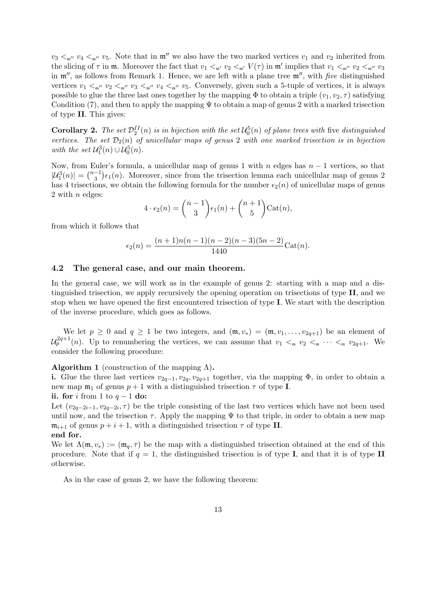$v_3 <_{m''} v_4 <_{m''} v_5$ . Note that in  $m''$  we also have the two marked vertices  $v_1$  and  $v_2$  inherited from the slicing of  $\tau$  in  $\mathfrak{m}$ . Moreover the fact that  $v_1 <_{\mathfrak{m}'} v_2 <_{\mathfrak{m}'} V(\tau)$  in  $\mathfrak{m}'$  implies that  $v_1 <_{\mathfrak{m}''} v_2 <_{\mathfrak{m}''} v_3$ in  $\mathfrak{m}''$ , as follows from Remark 1. Hence, we are left with a plane tree  $\mathfrak{m}''$ , with five distinguished vertices  $v_1 <_{m''} v_2 <_{m''} v_3 <_{m''} v_4 <_{m''} v_5$ . Conversely, given such a 5-tuple of vertices, it is always possible to glue the three last ones together by the mapping  $\Phi$  to obtain a triple  $(v_1, v_2, \tau)$  satisfying Condition (7), and then to apply the mapping  $\Psi$  to obtain a map of genus 2 with a marked trisection of type II. This gives:

**Corollary 2.** The set  $\mathcal{D}_2^{II}(n)$  is in bijection with the set  $\mathcal{U}_0^5(n)$  of plane trees with five distinguished vertices. The set  $\mathcal{D}_2(n)$  of unicellular maps of genus 2 with one marked trisection is in bijection with the set  $\mathcal{U}_1^3(n) \cup \mathcal{U}_0^5(n)$ .

Now, from Euler's formula, a unicellular map of genus 1 with n edges has  $n-1$  vertices, so that  $|\mathcal{U}_1^3(n)| = \binom{n-1}{3} \epsilon_1(n)$ . Moreover, since from the trisection lemma each unicellular map of genus 2 has 4 trisections, we obtain the following formula for the number  $\epsilon_2(n)$  of unicellular maps of genus 2 with  $n$  edges:

$$
4 \cdot \epsilon_2(n) = {n-1 \choose 3} \epsilon_1(n) + {n+1 \choose 5} \text{Cat}(n),
$$

from which it follows that

$$
\epsilon_2(n) = \frac{(n+1)n(n-1)(n-2)(n-3)(5n-2)}{1440}\text{Cat}(n).
$$

## 4.2 The general case, and our main theorem.

In the general case, we will work as in the example of genus 2: starting with a map and a distinguished trisection, we apply recursively the opening operation on trisections of type II, and we stop when we have opened the first encountered trisection of type I. We start with the description of the inverse procedure, which goes as follows.

We let  $p \ge 0$  and  $q \ge 1$  be two integers, and  $(\mathfrak{m}, v_*) = (\mathfrak{m}, v_1, \ldots, v_{2q+1})$  be an element of  $\mathcal{U}_p^{2q+1}(n)$ . Up to renumbering the vertices, we can assume that  $v_1 <_{\mathfrak{m}} v_2 <_{\mathfrak{m}} \cdots <_{\mathfrak{m}} v_{2q+1}$ . We consider the following procedure:

#### **Algorithm 1** (construction of the mapping  $\Lambda$ ).

i. Glue the three last vertices  $v_{2q-1}, v_{2q}, v_{2q+1}$  together, via the mapping  $\Phi$ , in order to obtain a new map  $m_1$  of genus  $p + 1$  with a distinguished trisection  $\tau$  of type **I**.

ii. for i from 1 to  $q-1$  do:

Let  $(v_{2q-2i-1}, v_{2q-2i}, \tau)$  be the triple consisting of the last two vertices which have not been used until now, and the trisection  $\tau$ . Apply the mapping  $\Psi$  to that triple, in order to obtain a new map  $\mathfrak{m}_{i+1}$  of genus  $p + i + 1$ , with a distinguished trisection  $\tau$  of type II.

## end for.

We let  $\Lambda(\mathfrak{m}, v_*) := (\mathfrak{m}_q, \tau)$  be the map with a distinguished trisection obtained at the end of this procedure. Note that if  $q = 1$ , the distinguished trisection is of type **I**, and that it is of type **II** otherwise.

As in the case of genus 2, we have the following theorem: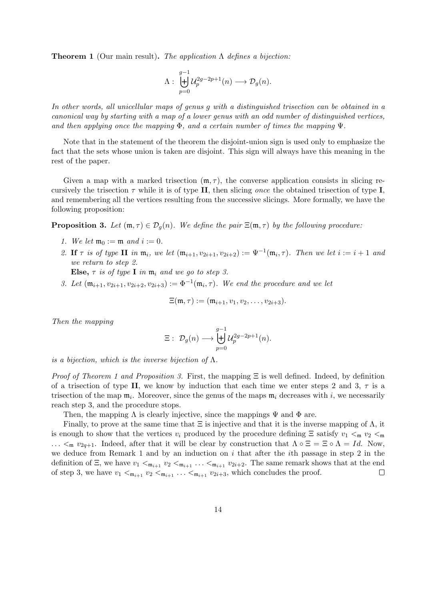**Theorem 1** (Our main result). The application  $\Lambda$  defines a bijection:

$$
\Lambda: \biguplus_{p=0}^{g-1} \mathcal{U}_p^{2g-2p+1}(n) \longrightarrow \mathcal{D}_g(n).
$$

In other words, all unicellular maps of genus g with a distinguished trisection can be obtained in a canonical way by starting with a map of a lower genus with an odd number of distinguished vertices, and then applying once the mapping  $\Phi$ , and a certain number of times the mapping  $\Psi$ .

Note that in the statement of the theorem the disjoint-union sign is used only to emphasize the fact that the sets whose union is taken are disjoint. This sign will always have this meaning in the rest of the paper.

Given a map with a marked trisection  $(\mathfrak{m}, \tau)$ , the converse application consists in slicing recursively the trisection  $\tau$  while it is of type II, then slicing once the obtained trisection of type I, and remembering all the vertices resulting from the successive slicings. More formally, we have the following proposition:

**Proposition 3.** Let  $(\mathfrak{m}, \tau) \in \mathcal{D}_q(n)$ . We define the pair  $\Xi(\mathfrak{m}, \tau)$  by the following procedure:

- 1. We let  $\mathfrak{m}_0 := \mathfrak{m}$  and  $i := 0$ .
- 2. If  $\tau$  is of type II in  $\mathfrak{m}_i$ , we let  $(\mathfrak{m}_{i+1}, v_{2i+1}, v_{2i+2}) := \Psi^{-1}(\mathfrak{m}_i, \tau)$ . Then we let  $i := i + 1$  and we return to step 2. Else,  $\tau$  is of type I in  $\mathfrak{m}_i$  and we go to step 3.
- 3. Let  $(\mathfrak{m}_{i+1}, v_{2i+1}, v_{2i+2}, v_{2i+3}) := \Phi^{-1}(\mathfrak{m}_i, \tau)$ . We end the procedure and we let

$$
\Xi(\mathfrak{m},\tau) := (\mathfrak{m}_{i+1}, v_1, v_2, \ldots, v_{2i+3}).
$$

Then the mapping

$$
\Xi:\; \mathcal{D}_g(n)\longrightarrow \biguplus_{p=0}^{g-1}\mathcal{U}_p^{2g-2p+1}(n).
$$

is a bijection, which is the inverse bijection of  $\Lambda$ .

*Proof of Theorem 1 and Proposition 3.* First, the mapping  $\Xi$  is well defined. Indeed, by definition of a trisection of type II, we know by induction that each time we enter steps 2 and 3,  $\tau$  is a trisection of the map  $\mathfrak{m}_i$ . Moreover, since the genus of the maps  $\mathfrak{m}_i$  decreases with i, we necessarily reach step 3, and the procedure stops.

Then, the mapping  $\Lambda$  is clearly injective, since the mappings  $\Psi$  and  $\Phi$  are.

Finally, to prove at the same time that  $\Xi$  is injective and that it is the inverse mapping of  $\Lambda$ , it is enough to show that the vertices  $v_i$  produced by the procedure defining  $\Xi$  satisfy  $v_1 <_{\mathfrak{m}} v_2 <_{\mathfrak{m}}$  $\ldots$   $\lt_{m} v_{2q+1}$ . Indeed, after that it will be clear by construction that  $\Lambda \circ \Xi = \Xi \circ \Lambda = Id$ . Now, we deduce from Remark 1 and by an induction on  $i$  that after the  $i$ th passage in step 2 in the definition of  $\Xi$ , we have  $v_1 <_{\mathfrak{m}_{i+1}} v_2 <_{\mathfrak{m}_{i+1}} \ldots <_{\mathfrak{m}_{i+1}} v_{2i+2}$ . The same remark shows that at the end of step 3, we have  $v_1 <_{\mathfrak{m}_{i+1}} v_2 <_{\mathfrak{m}_{i+1}} \ldots <_{\mathfrak{m}_{i+1}} v_{2i+3}$ , which concludes the proof.  $\Box$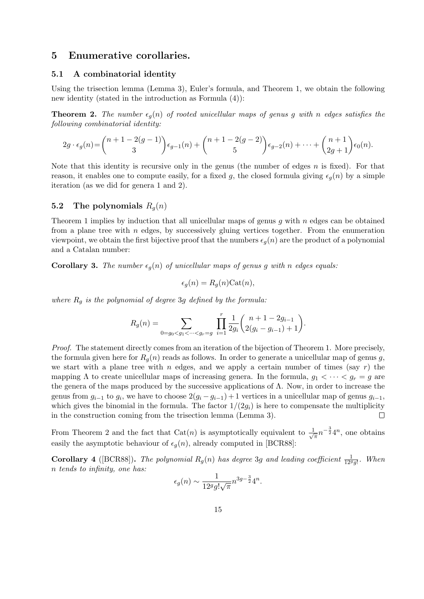# 5 Enumerative corollaries.

#### 5.1 A combinatorial identity

Using the trisection lemma (Lemma 3), Euler's formula, and Theorem 1, we obtain the following new identity (stated in the introduction as Formula (4)):

**Theorem 2.** The number  $\epsilon_q(n)$  of rooted unicellular maps of genus g with n edges satisfies the following combinatorial identity:

$$
2g \cdot \epsilon_g(n) = {n+1-2(g-1) \choose 3} \epsilon_{g-1}(n) + {n+1-2(g-2) \choose 5} \epsilon_{g-2}(n) + \dots + {n+1 \choose 2g+1} \epsilon_0(n).
$$

Note that this identity is recursive only in the genus (the number of edges  $n$  is fixed). For that reason, it enables one to compute easily, for a fixed g, the closed formula giving  $\epsilon_q(n)$  by a simple iteration (as we did for genera 1 and 2).

## 5.2 The polynomials  $R_q(n)$

Theorem 1 implies by induction that all unicellular maps of genus q with  $n$  edges can be obtained from a plane tree with  $n$  edges, by successively gluing vertices together. From the enumeration viewpoint, we obtain the first bijective proof that the numbers  $\epsilon_q(n)$  are the product of a polynomial and a Catalan number:

**Corollary 3.** The number  $\epsilon_q(n)$  of unicellular maps of genus g with n edges equals:

$$
\epsilon_g(n) = R_g(n) \text{Cat}(n),
$$

where  $R_g$  is the polynomial of degree 3g defined by the formula:

$$
R_g(n) = \sum_{0=g_0 < g_1 < \dots < g_r = g} \prod_{i=1}^r \frac{1}{2g_i} {n+1-2g_{i-1} \choose 2(g_i-g_{i-1})+1}.
$$

Proof. The statement directly comes from an iteration of the bijection of Theorem 1. More precisely, the formula given here for  $R_q(n)$  reads as follows. In order to generate a unicellular map of genus g, we start with a plane tree with n edges, and we apply a certain number of times (say  $r$ ) the mapping  $\Lambda$  to create unicellular maps of increasing genera. In the formula,  $g_1 < \cdots < g_r = g$  are the genera of the maps produced by the successive applications of  $\Lambda$ . Now, in order to increase the genus from  $g_{i-1}$  to  $g_i$ , we have to choose  $2(g_i - g_{i-1}) + 1$  vertices in a unicellular map of genus  $g_{i-1}$ , which gives the binomial in the formula. The factor  $1/(2g_i)$  is here to compensate the multiplicity in the construction coming from the trisection lemma (Lemma 3).  $\Box$ 

From Theorem 2 and the fact that Cat(n) is asymptotically equivalent to  $\frac{1}{\sqrt{2}}$  $\overline{\pi}n^{-\frac{3}{2}}4^n$ , one obtains easily the asymptotic behaviour of  $\epsilon_q(n)$ , already computed in [BCR88]:

**Corollary 4** ([BCR88]). The polynomial  $R_g(n)$  has degree 3g and leading coefficient  $\frac{1}{12^g g!}$ . When n tends to infinity, one has:

$$
\epsilon_g(n) \sim \frac{1}{12^g g! \sqrt{\pi}} n^{3g - \frac{3}{2}} 4^n
$$

.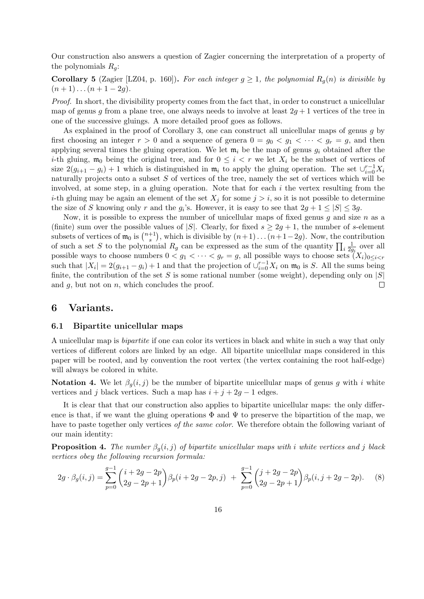Our construction also answers a question of Zagier concerning the interpretation of a property of the polynomials  $R_q$ :

**Corollary 5** (Zagier [LZ04, p. 160]). For each integer  $g \ge 1$ , the polynomial  $R_q(n)$  is divisible by  $(n+1)...(n+1-2g).$ 

Proof. In short, the divisibility property comes from the fact that, in order to construct a unicellular map of genus q from a plane tree, one always needs to involve at least  $2q + 1$  vertices of the tree in one of the successive gluings. A more detailed proof goes as follows.

As explained in the proof of Corollary 3, one can construct all unicellular maps of genus  $q$  by first choosing an integer  $r > 0$  and a sequence of genera  $0 = g_0 < g_1 < \cdots < g_r = g$ , and then applying several times the gluing operation. We let  $\mathfrak{m}_i$  be the map of genus  $g_i$  obtained after the *i*-th gluing,  $\mathfrak{m}_0$  being the original tree, and for  $0 \leq i < r$  we let  $X_i$  be the subset of vertices of size  $2(g_{i+1} - g_i) + 1$  which is distinguished in  $\mathfrak{m}_i$  to apply the gluing operation. The set  $\cup_{i=0}^{r-1} X_i$ naturally projects onto a subset  $S$  of vertices of the tree, namely the set of vertices which will be involved, at some step, in a gluing operation. Note that for each i the vertex resulting from the *i*-th gluing may be again an element of the set  $X_i$  for some  $j > i$ , so it is not possible to determine the size of S knowing only r and the  $g_i$ 's. However, it is easy to see that  $2g + 1 \leq |S| \leq 3g$ .

Now, it is possible to express the number of unicellular maps of fixed genus q and size  $n$  as a (finite) sum over the possible values of |S|. Clearly, for fixed  $s \geq 2q + 1$ , the number of s-element subsets of vertices of  $\mathfrak{m}_0$  is  $\binom{n+1}{s}$ <sup>+1</sup>), which is divisible by  $(n+1)...(n+1-2g)$ . Now, the contribution of such a set S to the polynomial  $R_g$  can be expressed as the sum of the quantity  $\prod_i \frac{1}{2g_i}$  over all possible ways to choose numbers  $0 < g_1 < \cdots < g_r = g$ , all possible ways to choose sets  $(X_i)_{0 \leq i < r}$ such that  $|X_i| = 2(g_{i+1} - g_i) + 1$  and that the projection of  $\bigcup_{i=0}^{r-1} X_i$  on  $\mathfrak{m}_0$  is S. All the sums being finite, the contribution of the set S is some rational number (some weight), depending only on  $|S|$  and a, but not on n, which concludes the proof. and  $q$ , but not on  $n$ , which concludes the proof.

# 6 Variants.

### 6.1 Bipartite unicellular maps

A unicellular map is bipartite if one can color its vertices in black and white in such a way that only vertices of different colors are linked by an edge. All bipartite unicellular maps considered in this paper will be rooted, and by convention the root vertex (the vertex containing the root half-edge) will always be colored in white.

**Notation 4.** We let  $\beta_q(i, j)$  be the number of bipartite unicellular maps of genus g with i white vertices and j black vertices. Such a map has  $i + j + 2g - 1$  edges.

It is clear that that our construction also applies to bipartite unicellular maps: the only difference is that, if we want the gluing operations  $\Phi$  and  $\Psi$  to preserve the bipartition of the map, we have to paste together only vertices of the same color. We therefore obtain the following variant of our main identity:

**Proposition 4.** The number  $\beta_o(i, j)$  of bipartite unicellular maps with i white vertices and j black vertices obey the following recursion formula:

$$
2g \cdot \beta_g(i,j) = \sum_{p=0}^{g-1} {i+2g-2p \choose 2g-2p+1} \beta_p(i+2g-2p,j) + \sum_{p=0}^{g-1} {j+2g-2p \choose 2g-2p+1} \beta_p(i,j+2g-2p).
$$
 (8)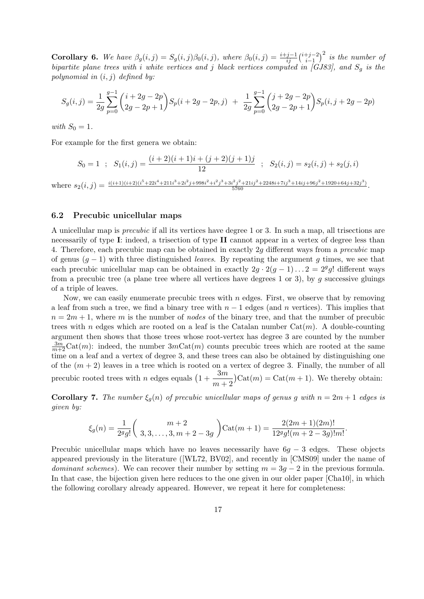**Corollary 6.** We have  $\beta_g(i,j) = S_g(i,j)\beta_0(i,j)$ , where  $\beta_0(i,j) = \frac{i+j-1}{ij} {i+j-2 \choose i-1}$  $i-1$  $\big)^2$  is the number of bipartite plane trees with i white vertices and j black vertices computed in [GJ83], and  $S_g$  is the polynomial in  $(i, j)$  defined by:

$$
S_g(i,j) = \frac{1}{2g} \sum_{p=0}^{g-1} {i+2g-2p \choose 2g-2p+1} S_p(i+2g-2p,j) \ + \ \frac{1}{2g} \sum_{p=0}^{g-1} {j+2g-2p \choose 2g-2p+1} S_p(i,j+2g-2p)
$$

with  $S_0 = 1$ .

For example for the first genera we obtain:

$$
S_0 = 1 \; ; \; S_1(i,j) = \frac{(i+2)(i+1)i+(j+2)(j+1)j}{12} \; ; \; S_2(i,j) = s_2(i,j) + s_2(j,i)
$$

where  $s_2(i,j) = \frac{i(i+1)(i+2)(i^5+22i^4+211i^3+2i^2j+998i^2+i^2j^3+3i^2j^2+21ij^2+2248i+7ij^3+14ij+96j^2+1920+64j+32j^3)}{5760}$ .

#### 6.2 Precubic unicellular maps

A unicellular map is precubic if all its vertices have degree 1 or 3. In such a map, all trisections are necessarily of type I: indeed, a trisection of type II cannot appear in a vertex of degree less than 4. Therefore, each precubic map can be obtained in exactly 2g different ways from a precubic map of genus  $(g - 1)$  with three distinguished *leaves*. By repeating the argument g times, we see that each precubic unicellular map can be obtained in exactly  $2g \cdot 2(g-1) \dots 2 = 2^g g!$  different ways from a precubic tree (a plane tree where all vertices have degrees 1 or 3), by g successive gluings of a triple of leaves.

Now, we can easily enumerate precubic trees with  $n$  edges. First, we observe that by removing a leaf from such a tree, we find a binary tree with  $n-1$  edges (and n vertices). This implies that  $n = 2m + 1$ , where m is the number of nodes of the binary tree, and that the number of precubic trees with n edges which are rooted on a leaf is the Catalan number  $Cat(m)$ . A double-counting argument then shows that those trees whose root-vertex has degree 3 are counted by the number  $\frac{3m}{m+2}\text{Cat}(m)$ : indeed, the number  $3m\text{Cat}(m)$  counts precubic trees which are rooted at the same time on a leaf and a vertex of degree 3, and these trees can also be obtained by distinguishing one of the  $(m + 2)$  leaves in a tree which is rooted on a vertex of degree 3. Finally, the number of all precubic rooted trees with *n* edges equals  $\left(1+\frac{3m}{2}\right)$  $m+2$  $Cat(m) = Cat(m + 1)$ . We thereby obtain:

**Corollary 7.** The number  $\xi_q(n)$  of precubic unicellular maps of genus g with  $n = 2m + 1$  edges is given by:

$$
\xi_g(n) = \frac{1}{2^g g!} \binom{m+2}{3,3,\ldots,3,m+2-3g} \operatorname{Cat}(m+1) = \frac{2(2m+1)(2m)!}{12^g g! (m+2-3g)! m!}.
$$

Precubic unicellular maps which have no leaves necessarily have  $6q - 3$  edges. These objects appeared previously in the literature ([WL72, BV02], and recently in [CMS09] under the name of *dominant schemes*). We can recover their number by setting  $m = 3q - 2$  in the previous formula. In that case, the bijection given here reduces to the one given in our older paper [Cha10], in which the following corollary already appeared. However, we repeat it here for completeness: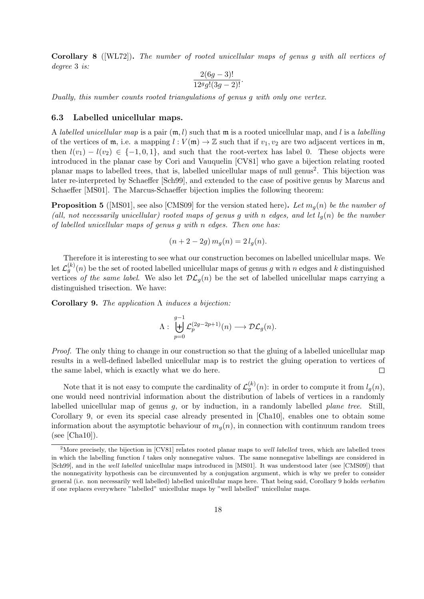Corollary 8 ([WL72]). The number of rooted unicellular maps of genus g with all vertices of degree 3 is:

$$
\frac{2(6g-3)!}{12^g g!(3g-2)!}.
$$

Dually, this number counts rooted triangulations of genus g with only one vertex.

## 6.3 Labelled unicellular maps.

A labelled unicellular map is a pair  $(\mathfrak{m}, l)$  such that  $\mathfrak{m}$  is a rooted unicellular map, and l is a labelling of the vertices of  $m$ , i.e. a mapping  $l : V(m) \to \mathbb{Z}$  such that if  $v_1, v_2$  are two adjacent vertices in  $m$ , then  $l(v_1) - l(v_2) \in \{-1, 0, 1\}$ , and such that the root-vertex has label 0. These objects were introduced in the planar case by Cori and Vauquelin [CV81] who gave a bijection relating rooted planar maps to labelled trees, that is, labelled unicellular maps of null genus<sup>2</sup>. This bijection was later re-interpreted by Schaeffer [Sch99], and extended to the case of positive genus by Marcus and Schaeffer [MS01]. The Marcus-Schaeffer bijection implies the following theorem:

**Proposition 5** ([MS01], see also [CMS09] for the version stated here). Let  $m_q(n)$  be the number of (all, not necessarily unicellular) rooted maps of genus g with n edges, and let  $l_q(n)$  be the number of labelled unicellular maps of genus g with n edges. Then one has:

$$
(n+2-2g) m_g(n) = 2 l_g(n).
$$

Therefore it is interesting to see what our construction becomes on labelled unicellular maps. We let  $\mathcal{L}_g^{(k)}(n)$  be the set of rooted labelled unicellular maps of genus g with n edges and k distinguished vertices of the same label. We also let  $\mathcal{DL}_g(n)$  be the set of labelled unicellular maps carrying a distinguished trisection. We have:

Corollary 9. The application  $\Lambda$  induces a bijection:

$$
\Lambda: \ \biguplus_{p=0}^{g-1} \mathcal{L}_{p}^{(2g-2p+1)}(n) \longrightarrow \mathcal{DL}_{g}(n).
$$

Proof. The only thing to change in our construction so that the gluing of a labelled unicellular map results in a well-defined labelled unicellular map is to restrict the gluing operation to vertices of the same label, which is exactly what we do here.  $\Box$ 

Note that it is not easy to compute the cardinality of  $\mathcal{L}_g^{(k)}(n)$ : in order to compute it from  $l_g(n)$ , one would need nontrivial information about the distribution of labels of vertices in a randomly labelled unicellular map of genus g, or by induction, in a randomly labelled plane tree. Still, Corollary 9, or even its special case already presented in [Cha10], enables one to obtain some information about the asymptotic behaviour of  $m_q(n)$ , in connection with continuum random trees  $(see [Cha10]).$ 

<sup>&</sup>lt;sup>2</sup>More precisely, the bijection in [CV81] relates rooted planar maps to *well labelled* trees, which are labelled trees in which the labelling function  $l$  takes only nonnegative values. The same nonnegative labellings are considered in [Sch99], and in the well labelled unicellular maps introduced in [MS01]. It was understood later (see [CMS09]) that the nonnegativity hypothesis can be circumvented by a conjugation argument, which is why we prefer to consider general (i.e. non necessarily well labelled) labelled unicellular maps here. That being said, Corollary 9 holds verbatim if one replaces everywhere "labelled" unicellular maps by "well labelled" unicellular maps.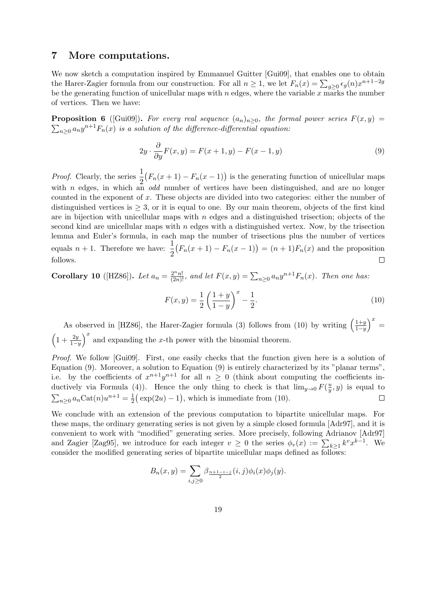# 7 More computations.

We now sketch a computation inspired by Emmanuel Guitter [Gui09], that enables one to obtain the Harer-Zagier formula from our construction. For all  $n \geq 1$ , we let  $F_n(x) = \sum_{g\geq 0} \epsilon_g(n) x^{n+1-2g}$ be the generating function of unicellular maps with  $n$  edges, where the variable  $x$  marks the number of vertices. Then we have:

**Proposition 6** ([Gui09]). For every real sequence  $(a_n)_{n\geq 0}$ , the formal power series  $F(x, y) =$  $\sum_{n\geq 0} a_n y^{n+1} F_n(x)$  is a solution of the difference-differential equation:

$$
2y \cdot \frac{\partial}{\partial y} F(x, y) = F(x+1, y) - F(x-1, y)
$$
\n(9)

*Proof.* Clearly, the series  $\frac{1}{2}$  $(F_n(x+1) - F_n(x-1))$  is the generating function of unicellular maps with n edges, in which an odd number of vertices have been distinguished, and are no longer counted in the exponent of  $x$ . These objects are divided into two categories: either the number of distinguished vertices is  $\geq 3$ , or it is equal to one. By our main theorem, objects of the first kind are in bijection with unicellular maps with  $n$  edges and a distinguished trisection; objects of the second kind are unicellular maps with  $n$  edges with a distinguished vertex. Now, by the trisection lemma and Euler's formula, in each map the number of trisections plus the number of vertices equals  $n + 1$ . Therefore we have:  $\frac{1}{2}$  $(F_n(x+1) - F_n(x-1)) = (n+1)F_n(x)$  and the proposition follows.  $\Box$ 

**Corollary 10** ([HZ86]). Let  $a_n = \frac{2^n n!}{(2n)!}$ , and let  $F(x, y) = \sum_{n \geq 0} a_n y^{n+1} F_n(x)$ . Then one has:

$$
F(x,y) = \frac{1}{2} \left( \frac{1+y}{1-y} \right)^x - \frac{1}{2}.
$$
\n(10)

As observed in [HZ86], the Harer-Zagier formula (3) follows from (10) by writing  $\left(\frac{1+y}{1-y}\right)$  $1-y$  $x =$  $\left(1+\frac{2y}{1-y}\right)$  $\int_0^x$  and expanding the x-th power with the binomial theorem.

Proof. We follow [Gui09]. First, one easily checks that the function given here is a solution of Equation (9). Moreover, a solution to Equation (9) is entirely characterized by its "planar terms", i.e. by the coefficients of  $x^{n+1}y^{n+1}$  for all  $n \geq 0$  (think about computing the coefficients inductively via Formula (4)). Hence the only thing to check is that  $\lim_{y\to 0} F(\frac{u}{y})$  $\frac{u}{y}$ , y) is equal to  $\frac{1}{2}(\exp(2u)-1)$ , which is immediate from (10).  $\sum_{n\geq 0} a_n \text{Cat}(n)u^{n+1} = \frac{1}{2}$  $\Box$ 

We conclude with an extension of the previous computation to bipartite unicellular maps. For these maps, the ordinary generating series is not given by a simple closed formula [Adr97], and it is convenient to work with "modified" generating series. More precisely, following Adrianov [Adr97] and Zagier [Zag95], we introduce for each integer  $v \geq 0$  the series  $\phi_v(x) := \sum_{k \geq 1} k^v x^{k-1}$ . We consider the modified generating series of bipartite unicellular maps defined as follows:

$$
B_n(x,y) = \sum_{i,j\geq 0} \beta_{\frac{n+1-i-j}{2}}(i,j)\phi_i(x)\phi_j(y).
$$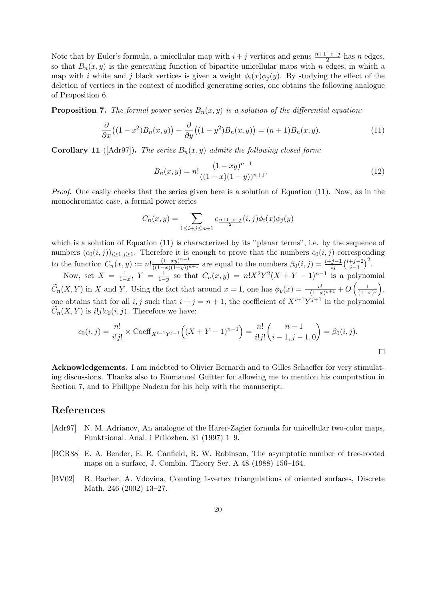Note that by Euler's formula, a unicellular map with  $i + j$  vertices and genus  $\frac{n+1-i-j}{2}$  has n edges, so that  $B_n(x, y)$  is the generating function of bipartite unicellular maps with n edges, in which a map with i white and j black vertices is given a weight  $\phi_i(x)\phi_j(y)$ . By studying the effect of the deletion of vertices in the context of modified generating series, one obtains the following analogue of Proposition 6.

**Proposition 7.** The formal power series  $B_n(x, y)$  is a solution of the differential equation:

$$
\frac{\partial}{\partial x}\big((1-x^2)B_n(x,y)\big) + \frac{\partial}{\partial y}\big((1-y^2)B_n(x,y)\big) = (n+1)B_n(x,y). \tag{11}
$$

**Corollary 11** ( $[Adr97]$ ). The series  $B_n(x, y)$  admits the following closed form:

$$
B_n(x,y) = n! \frac{(1-xy)^{n-1}}{((1-x)(1-y))^{n+1}}.
$$
\n(12)

Proof. One easily checks that the series given here is a solution of Equation (11). Now, as in the monochromatic case, a formal power series

$$
C_n(x,y) = \sum_{1 \le i+j \le n+1} c_{\frac{n+1-i-j}{2}}(i,j)\phi_i(x)\phi_j(y)
$$

which is a solution of Equation (11) is characterized by its "planar terms", i.e. by the sequence of numbers  $(c_0(i,j))_{i\geq 1,j\geq 1}$ . Therefore it is enough to prove that the numbers  $c_0(i,j)$  corresponding to the function  $C_n(x, y) := n! \frac{(1-xy)^{n-1}}{((1-x)(1-y))^{n+1}}$  are equal to the numbers  $\beta_0(i,j) = \frac{i+j-1}{ij} {i+j-2 \choose i-1}$  $i-1$  $\big)^2$ .

Now, set  $X = \frac{1}{1-x}$ ,  $Y = \frac{1}{1-y}$  so that  $C_n(x,y) = n!X^2Y^2(X+Y-1)^{n-1}$  is a polynomial  $\widetilde{C}_n(X,Y)$  in X and Y. Using the fact that around  $x=1$ , one has  $\phi_v(x) = \frac{v!}{(1-x)^{v+1}} + O\left(\frac{1}{(1-x)^{v+1}}\right)$  $\frac{1}{(1-x)^v}\bigg),$ one obtains that for all i, j such that  $i + j = n + 1$ , the coefficient of  $X^{i+1}Y^{j+1}$  in the polynomial  $C_n(X, Y)$  is  $i!j!c_0(i, j)$ . Therefore we have:

$$
c_0(i,j) = \frac{n!}{i!j!} \times \text{Coeff}_{X^{i-1}Y^{j-1}}\Big((X+Y-1)^{n-1}\Big) = \frac{n!}{i!j!} \binom{n-1}{i-1,j-1,0} = \beta_0(i,j).
$$

Acknowledgements. I am indebted to Olivier Bernardi and to Gilles Schaeffer for very stimulating discussions. Thanks also to Emmanuel Guitter for allowing me to mention his computation in Section 7, and to Philippe Nadeau for his help with the manuscript.

# References

- [Adr97] N. M. Adrianov, An analogue of the Harer-Zagier formula for unicellular two-color maps, Funktsional. Anal. i Prilozhen. 31 (1997) 1–9.
- [BCR88] E. A. Bender, E. R. Canfield, R. W. Robinson, The asymptotic number of tree-rooted maps on a surface, J. Combin. Theory Ser. A 48 (1988) 156–164.
- [BV02] R. Bacher, A. Vdovina, Counting 1-vertex triangulations of oriented surfaces, Discrete Math. 246 (2002) 13–27.